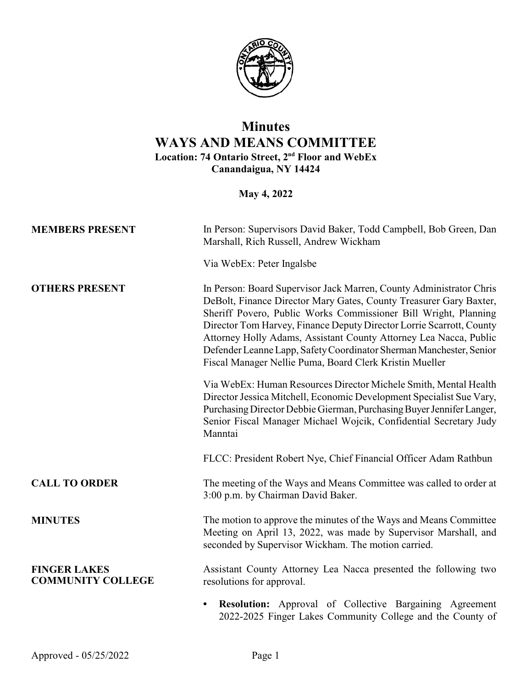

## **Minutes WAYS AND MEANS COMMITTEE Location: 74 Ontario Street, 2nd Floor and WebEx Canandaigua, NY 14424**

**May 4, 2022**

| <b>MEMBERS PRESENT</b>                          | In Person: Supervisors David Baker, Todd Campbell, Bob Green, Dan<br>Marshall, Rich Russell, Andrew Wickham<br>Via WebEx: Peter Ingalsbe                                                                                                                                                                                                                                                                                                                                                    |
|-------------------------------------------------|---------------------------------------------------------------------------------------------------------------------------------------------------------------------------------------------------------------------------------------------------------------------------------------------------------------------------------------------------------------------------------------------------------------------------------------------------------------------------------------------|
| <b>OTHERS PRESENT</b>                           | In Person: Board Supervisor Jack Marren, County Administrator Chris<br>DeBolt, Finance Director Mary Gates, County Treasurer Gary Baxter,<br>Sheriff Povero, Public Works Commissioner Bill Wright, Planning<br>Director Tom Harvey, Finance Deputy Director Lorrie Scarrott, County<br>Attorney Holly Adams, Assistant County Attorney Lea Nacca, Public<br>Defender Leanne Lapp, Safety Coordinator Sherman Manchester, Senior<br>Fiscal Manager Nellie Puma, Board Clerk Kristin Mueller |
|                                                 | Via WebEx: Human Resources Director Michele Smith, Mental Health<br>Director Jessica Mitchell, Economic Development Specialist Sue Vary,<br>Purchasing Director Debbie Gierman, Purchasing Buyer Jennifer Langer,<br>Senior Fiscal Manager Michael Wojcik, Confidential Secretary Judy<br>Manntai                                                                                                                                                                                           |
|                                                 | FLCC: President Robert Nye, Chief Financial Officer Adam Rathbun                                                                                                                                                                                                                                                                                                                                                                                                                            |
| <b>CALL TO ORDER</b>                            | The meeting of the Ways and Means Committee was called to order at<br>3:00 p.m. by Chairman David Baker.                                                                                                                                                                                                                                                                                                                                                                                    |
| <b>MINUTES</b>                                  | The motion to approve the minutes of the Ways and Means Committee<br>Meeting on April 13, 2022, was made by Supervisor Marshall, and<br>seconded by Supervisor Wickham. The motion carried.                                                                                                                                                                                                                                                                                                 |
| <b>FINGER LAKES</b><br><b>COMMUNITY COLLEGE</b> | Assistant County Attorney Lea Nacca presented the following two<br>resolutions for approval.                                                                                                                                                                                                                                                                                                                                                                                                |
|                                                 | Resolution: Approval of Collective Bargaining Agreement<br>$\bullet$<br>2022-2025 Finger Lakes Community College and the County of                                                                                                                                                                                                                                                                                                                                                          |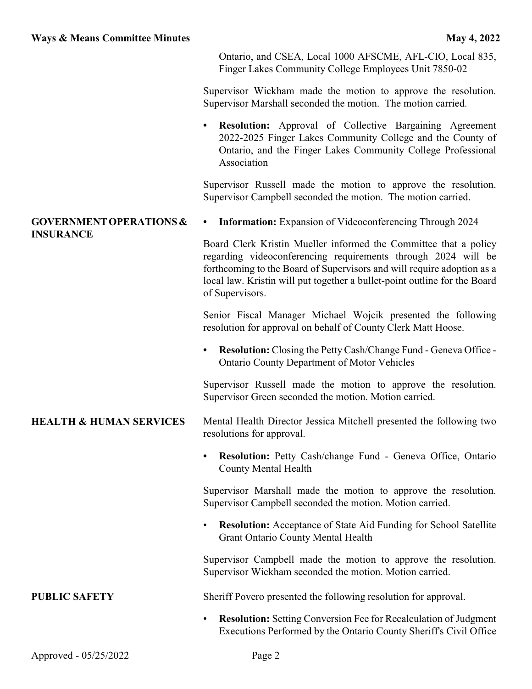Ontario, and CSEA, Local 1000 AFSCME, AFL-CIO, Local 835, Finger Lakes Community College Employees Unit 7850-02

Supervisor Wickham made the motion to approve the resolution. Supervisor Marshall seconded the motion. The motion carried.

**• Resolution:** Approval of Collective Bargaining Agreement 2022-2025 Finger Lakes Community College and the County of Ontario, and the Finger Lakes Community College Professional Association

Supervisor Russell made the motion to approve the resolution. Supervisor Campbell seconded the motion. The motion carried.

## **GOVERNMENTOPERATIONS & INSURANCE**

**• Information:** Expansion of Videoconferencing Through 2024

Board Clerk Kristin Mueller informed the Committee that a policy regarding videoconferencing requirements through 2024 will be forthcoming to the Board of Supervisors and will require adoption as a local law. Kristin will put together a bullet-point outline for the Board of Supervisors.

Senior Fiscal Manager Michael Wojcik presented the following resolution for approval on behalf of County Clerk Matt Hoose.

**• Resolution:** Closing the Petty Cash/Change Fund - Geneva Office - Ontario County Department of Motor Vehicles

Supervisor Russell made the motion to approve the resolution. Supervisor Green seconded the motion. Motion carried.

## **HEALTH & HUMAN SERVICES** Mental Health Director Jessica Mitchell presented the following two resolutions for approval.

**• Resolution:** Petty Cash/change Fund - Geneva Office, Ontario County Mental Health

Supervisor Marshall made the motion to approve the resolution. Supervisor Campbell seconded the motion. Motion carried.

**Resolution:** Acceptance of State Aid Funding for School Satellite Grant Ontario County Mental Health

Supervisor Campbell made the motion to approve the resolution. Supervisor Wickham seconded the motion. Motion carried.

**PUBLIC SAFETY** Sheriff Povero presented the following resolution for approval.

• **Resolution:** Setting Conversion Fee for Recalculation of Judgment Executions Performed by the Ontario County Sheriff's Civil Office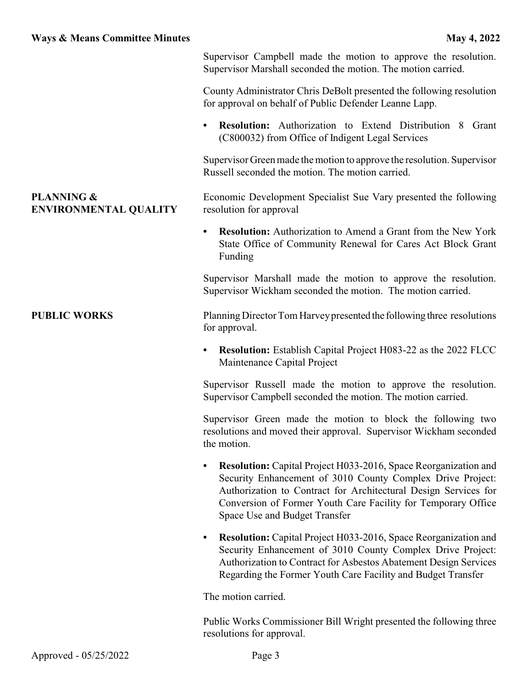**ENVIRONMENTAL QUALITY**

**PLANNING &**

Supervisor Campbell made the motion to approve the resolution. Supervisor Marshall seconded the motion. The motion carried.

County Administrator Chris DeBolt presented the following resolution for approval on behalf of Public Defender Leanne Lapp.

**• Resolution:** Authorization to Extend Distribution 8 Grant (C800032) from Office of Indigent Legal Services

Supervisor Green made the motion to approve the resolution. Supervisor Russell seconded the motion. The motion carried.

Economic Development Specialist Sue Vary presented the following resolution for approval

**• Resolution:** Authorization to Amend a Grant from the New York State Office of Community Renewal for Cares Act Block Grant Funding

Supervisor Marshall made the motion to approve the resolution. Supervisor Wickham seconded the motion. The motion carried.

**PUBLIC WORKS** Planning Director Tom Harvey presented the following three resolutions for approval.

> **• Resolution:** Establish Capital Project H083-22 as the 2022 FLCC Maintenance Capital Project

> Supervisor Russell made the motion to approve the resolution. Supervisor Campbell seconded the motion. The motion carried.

> Supervisor Green made the motion to block the following two resolutions and moved their approval. Supervisor Wickham seconded the motion.

- **Resolution:** Capital Project H033-2016, Space Reorganization and Security Enhancement of 3010 County Complex Drive Project: Authorization to Contract for Architectural Design Services for Conversion of Former Youth Care Facility for Temporary Office Space Use and Budget Transfer
- **• Resolution:** Capital Project H033-2016, Space Reorganization and Security Enhancement of 3010 County Complex Drive Project: Authorization to Contract for Asbestos Abatement Design Services Regarding the Former Youth Care Facility and Budget Transfer

The motion carried.

Public Works Commissioner Bill Wright presented the following three resolutions for approval.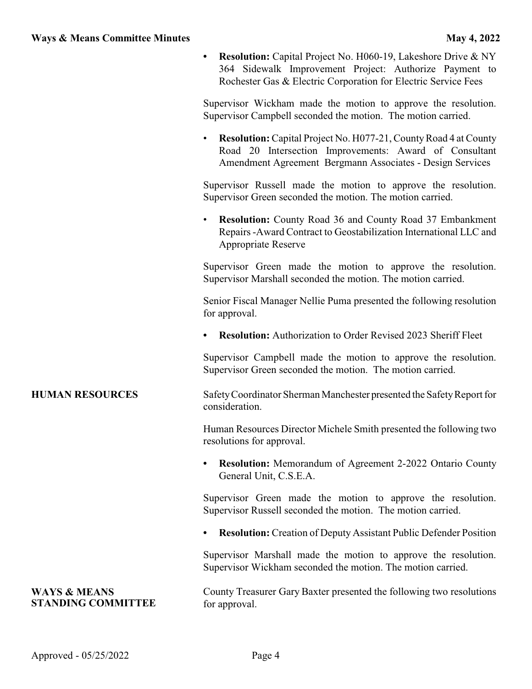|                                                      | <b>Resolution:</b> Capital Project No. H060-19, Lakeshore Drive & NY<br>364 Sidewalk Improvement Project: Authorize Payment to<br>Rochester Gas & Electric Corporation for Electric Service Fees |
|------------------------------------------------------|--------------------------------------------------------------------------------------------------------------------------------------------------------------------------------------------------|
|                                                      | Supervisor Wickham made the motion to approve the resolution.<br>Supervisor Campbell seconded the motion. The motion carried.                                                                    |
|                                                      | Resolution: Capital Project No. H077-21, County Road 4 at County<br>Road 20 Intersection Improvements: Award of Consultant<br>Amendment Agreement Bergmann Associates - Design Services          |
|                                                      | Supervisor Russell made the motion to approve the resolution.<br>Supervisor Green seconded the motion. The motion carried.                                                                       |
|                                                      | <b>Resolution:</b> County Road 36 and County Road 37 Embankment<br>$\bullet$<br>Repairs - Award Contract to Geostabilization International LLC and<br>Appropriate Reserve                        |
|                                                      | Supervisor Green made the motion to approve the resolution.<br>Supervisor Marshall seconded the motion. The motion carried.                                                                      |
|                                                      | Senior Fiscal Manager Nellie Puma presented the following resolution<br>for approval.                                                                                                            |
|                                                      | <b>Resolution:</b> Authorization to Order Revised 2023 Sheriff Fleet<br>$\bullet$                                                                                                                |
|                                                      | Supervisor Campbell made the motion to approve the resolution.<br>Supervisor Green seconded the motion. The motion carried.                                                                      |
| <b>HUMAN RESOURCES</b>                               | Safety Coordinator Sherman Manchester presented the Safety Report for<br>consideration.                                                                                                          |
|                                                      | Human Resources Director Michele Smith presented the following two<br>resolutions for approval.                                                                                                  |
|                                                      | <b>Resolution:</b> Memorandum of Agreement 2-2022 Ontario County<br>٠<br>General Unit, C.S.E.A.                                                                                                  |
|                                                      | Supervisor Green made the motion to approve the resolution.<br>Supervisor Russell seconded the motion. The motion carried.                                                                       |
|                                                      | <b>Resolution:</b> Creation of Deputy Assistant Public Defender Position                                                                                                                         |
|                                                      | Supervisor Marshall made the motion to approve the resolution.<br>Supervisor Wickham seconded the motion. The motion carried.                                                                    |
| <b>WAYS &amp; MEANS</b><br><b>STANDING COMMITTEE</b> | County Treasurer Gary Baxter presented the following two resolutions<br>for approval.                                                                                                            |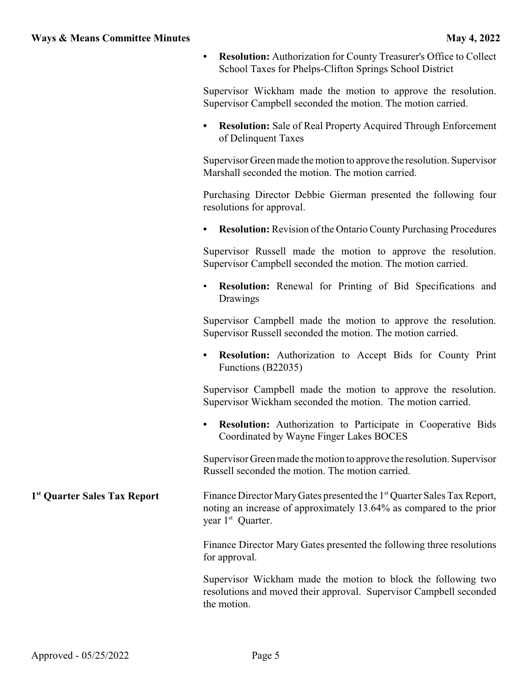**• Resolution:** Authorization for County Treasurer's Office to Collect School Taxes for Phelps-Clifton Springs School District

Supervisor Wickham made the motion to approve the resolution. Supervisor Campbell seconded the motion. The motion carried.

**• Resolution:** Sale of Real Property Acquired Through Enforcement of Delinquent Taxes

Supervisor Green made the motion to approve the resolution. Supervisor Marshall seconded the motion. The motion carried.

Purchasing Director Debbie Gierman presented the following four resolutions for approval.

**• Resolution:** Revision of the Ontario County Purchasing Procedures

Supervisor Russell made the motion to approve the resolution. Supervisor Campbell seconded the motion. The motion carried.

• **Resolution:** Renewal for Printing of Bid Specifications and Drawings

Supervisor Campbell made the motion to approve the resolution. Supervisor Russell seconded the motion. The motion carried.

**• Resolution:** Authorization to Accept Bids for County Print Functions (B22035)

Supervisor Campbell made the motion to approve the resolution. Supervisor Wickham seconded the motion. The motion carried.

**• Resolution:** Authorization to Participate in Cooperative Bids Coordinated by Wayne Finger Lakes BOCES

Supervisor Green made the motion to approve the resolution. Supervisor Russell seconded the motion. The motion carried.

**1 st Quarter Sales Tax Report** Finance Director Mary Gates presented the 1<sup>st</sup> Quarter Sales Tax Report, noting an increase of approximately 13.64% as compared to the prior year 1<sup>st</sup> Quarter.

> Finance Director Mary Gates presented the following three resolutions for approval.

> Supervisor Wickham made the motion to block the following two resolutions and moved their approval. Supervisor Campbell seconded the motion.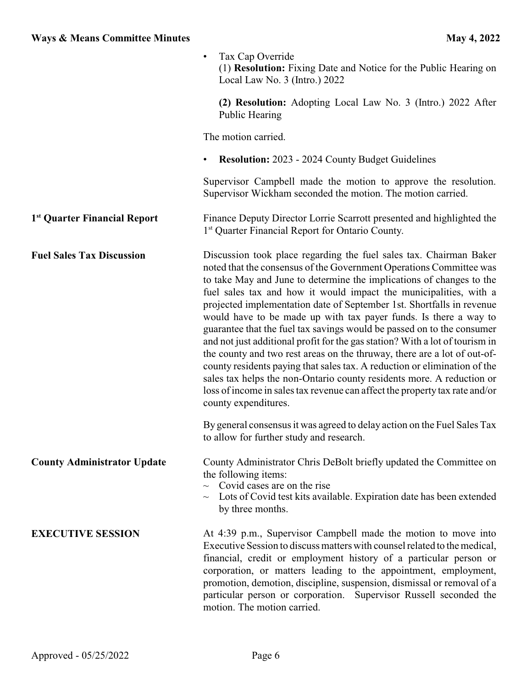|                                          | Tax Cap Override<br>(1) <b>Resolution:</b> Fixing Date and Notice for the Public Hearing on<br>Local Law No. 3 (Intro.) 2022                                                                                                                                                                                                                                                                                                                                                                                                                                                                                                                                                                                                                                                                                                                                                                                                           |
|------------------------------------------|----------------------------------------------------------------------------------------------------------------------------------------------------------------------------------------------------------------------------------------------------------------------------------------------------------------------------------------------------------------------------------------------------------------------------------------------------------------------------------------------------------------------------------------------------------------------------------------------------------------------------------------------------------------------------------------------------------------------------------------------------------------------------------------------------------------------------------------------------------------------------------------------------------------------------------------|
|                                          | (2) Resolution: Adopting Local Law No. 3 (Intro.) 2022 After<br>Public Hearing                                                                                                                                                                                                                                                                                                                                                                                                                                                                                                                                                                                                                                                                                                                                                                                                                                                         |
|                                          | The motion carried.                                                                                                                                                                                                                                                                                                                                                                                                                                                                                                                                                                                                                                                                                                                                                                                                                                                                                                                    |
|                                          | <b>Resolution:</b> 2023 - 2024 County Budget Guidelines<br>$\bullet$                                                                                                                                                                                                                                                                                                                                                                                                                                                                                                                                                                                                                                                                                                                                                                                                                                                                   |
|                                          | Supervisor Campbell made the motion to approve the resolution.<br>Supervisor Wickham seconded the motion. The motion carried.                                                                                                                                                                                                                                                                                                                                                                                                                                                                                                                                                                                                                                                                                                                                                                                                          |
| 1 <sup>st</sup> Quarter Financial Report | Finance Deputy Director Lorrie Scarrott presented and highlighted the<br>1 <sup>st</sup> Quarter Financial Report for Ontario County.                                                                                                                                                                                                                                                                                                                                                                                                                                                                                                                                                                                                                                                                                                                                                                                                  |
| <b>Fuel Sales Tax Discussion</b>         | Discussion took place regarding the fuel sales tax. Chairman Baker<br>noted that the consensus of the Government Operations Committee was<br>to take May and June to determine the implications of changes to the<br>fuel sales tax and how it would impact the municipalities, with a<br>projected implementation date of September 1st. Shortfalls in revenue<br>would have to be made up with tax payer funds. Is there a way to<br>guarantee that the fuel tax savings would be passed on to the consumer<br>and not just additional profit for the gas station? With a lot of tourism in<br>the county and two rest areas on the thruway, there are a lot of out-of-<br>county residents paying that sales tax. A reduction or elimination of the<br>sales tax helps the non-Ontario county residents more. A reduction or<br>loss of income in sales tax revenue can affect the property tax rate and/or<br>county expenditures. |
|                                          | By general consensus it was agreed to delay action on the Fuel Sales Tax<br>to allow for further study and research.                                                                                                                                                                                                                                                                                                                                                                                                                                                                                                                                                                                                                                                                                                                                                                                                                   |
| <b>County Administrator Update</b>       | County Administrator Chris DeBolt briefly updated the Committee on<br>the following items:<br>Covid cases are on the rise<br>$\sim$<br>Lots of Covid test kits available. Expiration date has been extended<br>$\sim$<br>by three months.                                                                                                                                                                                                                                                                                                                                                                                                                                                                                                                                                                                                                                                                                              |
| <b>EXECUTIVE SESSION</b>                 | At 4:39 p.m., Supervisor Campbell made the motion to move into<br>Executive Session to discuss matters with counsel related to the medical,<br>financial, credit or employment history of a particular person or<br>corporation, or matters leading to the appointment, employment,<br>promotion, demotion, discipline, suspension, dismissal or removal of a<br>particular person or corporation. Supervisor Russell seconded the<br>motion. The motion carried.                                                                                                                                                                                                                                                                                                                                                                                                                                                                      |